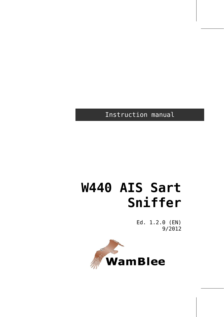Instruction manual

# **W440 AIS Sart Sniffer**

Ed. 1.2.0 (EN) 9/2012

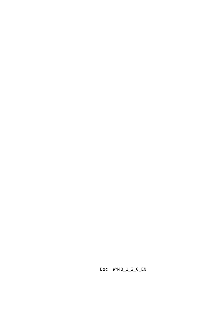Doc: W440\_1\_2\_0\_EN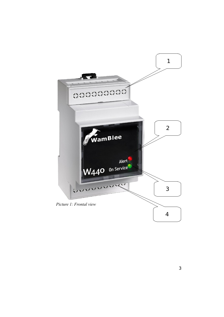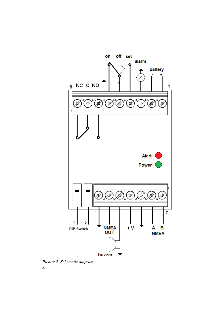

<span id="page-3-0"></span>*Picture 2: Schematic diagram*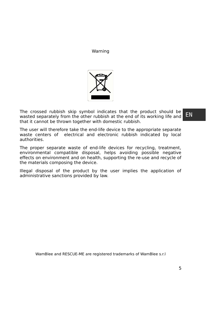Warning



The crossed rubbish skip symbol indicates that the product should be wasted separately from the other rubbish at the end of its working life and that it cannot be thrown together with domestic rubbish.

The user will therefore take the end-life device to the appropriate separate waste centers of electrical and electronic rubbish indicated by local authorities.

The proper separate waste of end-life devices for recycling, treatment, environmental compatible disposal, helps avoiding possible negative effects on environment and on health, supporting the re-use and recycle of the materials composing the device.

Illegal disposal of the product by the user implies the application of administrative sanctions provided by law.

WamBlee and RESCUE-ME are registered trademarks of WamBlee s.r.l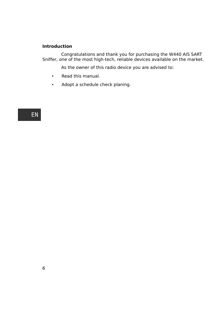## **Introduction**

Congratulations and thank you for purchasing the W440 AIS SART Sniffer, one of the most high-tech, reliable devices available on the market.

As the owner of this radio device you are advised to:

- Read this manual.
- Adopt a schedule check planing.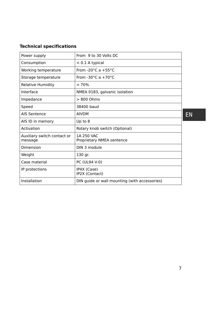## **Technical specifications**

| Power supply                           | From 9 to 30 Volts DC                         |    |
|----------------------------------------|-----------------------------------------------|----|
| Consumption                            | $< 0.1$ A typical                             |    |
| Working temperature                    | From -20 $^{\circ}$ C a +55 $^{\circ}$ C      |    |
| Storage temperature                    | From -30 $^{\circ}$ C a +70 $^{\circ}$ C      |    |
| Relative Humidity                      | < 70%                                         |    |
| Interface                              | NMEA 0183, galvanic isolation                 |    |
| Impedance                              | $> 800$ Ohms                                  |    |
| Speed                                  | 38400 baud                                    |    |
| AIS Sentence                           | <b>AIVDM</b>                                  | E١ |
| AIS ID in memory                       | Up to 8                                       |    |
| Activation                             | Rotary knob switch (Optional)                 |    |
| Auxiliary switch contact or<br>message | 1A 250 VAC<br>Proprietary NMEA sentence       |    |
| Dimension                              | DIN 3 module                                  |    |
| Weight                                 | 130 gr.                                       |    |
| Case material                          | PC (UL94 V-0)                                 |    |
| IP protections                         | IP4X (Case)<br>IP2X (Contact)                 |    |
| Installation                           | DIN guide or wall mounting (with accessories) |    |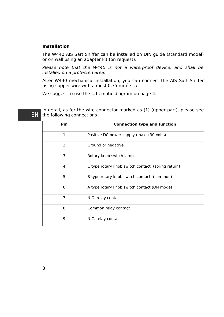## **Installation**

The W440 AIS Sart Sniffer can be installed on DIN guide (standard model) or on wall using an adapter kit (on request).

Please note that the W440 is not a waterproof device, and shall be installed on a protected area.

After W440 mechanical installation, you can connect the AIS Sart Sniffer using copper wire with almost  $0.75$  mm<sup>2</sup> size.

We suggest to use the schematic diagram on page [4.](#page-3-0)

EN

In detail, as for the wire connector marked as (1) (upper part), please see the following connections :

| <b>Pin</b> | <b>Connection type and function</b>               |
|------------|---------------------------------------------------|
| 1          | Positive DC power supply (max +30 Volts)          |
| 2          | Ground or negative                                |
| 3          | Rotary knob switch lamp.                          |
| 4          | C type rotary knob switch contact (spring return) |
| 5          | B type rotary knob switch contact (common)        |
| 6          | A type rotary knob switch contact (ON mode)       |
| 7          | N.O. relay contact                                |
| 8          | Common relay contact                              |
| 9          | N.C. relay contact                                |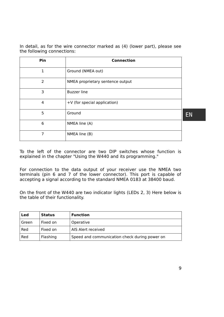In detail, as for the wire connector marked as (4) (lower part), please see the following connections:

| Pin            | <b>Connection</b>                |           |
|----------------|----------------------------------|-----------|
| 1              | Ground (NMEA out)                |           |
| $\overline{2}$ | NMEA proprietary sentence output |           |
| 3              | <b>Buzzer</b> line               |           |
| 4              | +V (for special application)     |           |
| 5              | Ground                           | <b>EN</b> |
| 6              | NMEA line (A)                    |           |
| 7              | NMEA line (B)                    |           |

To the left of the connector are two DIP switches whose function is explained in the chapter "Using the W440 and its programming."

For connection to the data output of your receiver use the NMEA two terminals (pin 6 and 7 of the lower connector). This port is capable of accepting a signal according to the standard NMEA 0183 at 38400 baud.

On the front of the W440 are two indicator lights (LEDs 2, 3) Here below is the table of their functionality.

| Led   | <b>Status</b> | <b>Function</b>                               |
|-------|---------------|-----------------------------------------------|
| Green | Fixed on      | Operative                                     |
| Red   | Fixed on      | AIS Alert received                            |
| Red   | Flashing      | Speed and communication check during power on |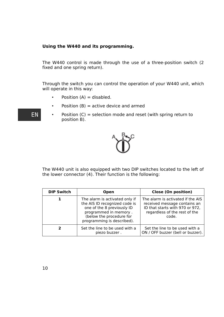## **Using the W440 and its programming.**

The W440 control is made through the use of a three-position switch (2 fixed and one spring return).

Through the switch you can control the operation of your W440 unit, which will operate in this way:

- Position  $(A) =$  disabled.
- Position  $(B)$  = active device and armed
- EN
- Position (C) = selection mode and reset (with spring return to position B).



The W440 unit is also equipped with two DIP switches located to the left of the lower connector (4). Their function is the following:

| <b>DIP Switch</b> | <b>Open</b>                                                                                                                                                                      | Close (On position)                                                                                                                            |
|-------------------|----------------------------------------------------------------------------------------------------------------------------------------------------------------------------------|------------------------------------------------------------------------------------------------------------------------------------------------|
|                   | The alarm is activated only if<br>the AIS ID recognized code is<br>one of the 8 previously ID<br>programmed in memory.<br>(below the procedure for<br>programming is described). | The alarm is activated if the AIS<br>received message contains an<br>ID that starts with 970 or 972,<br>regardless of the rest of the<br>code. |
|                   | Set the line to be used with a<br>piezo buzzer.                                                                                                                                  | Set the line to be used with a<br>ON / OFF buzzer (bell or buzzer).                                                                            |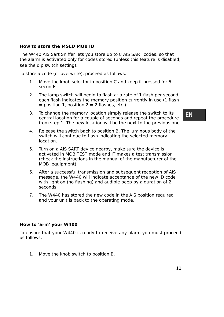## **How to store the MSLD MOB ID**

The W440 AIS Sart Sniffer lets you store up to 8 AIS SART codes, so that the alarm is activated only for codes stored (unless this feature is disabled, see the dip switch setting).

To store a code (or overwrite), proceed as follows:

- 1. Move the knob selector in position C and keep it pressed for 5 seconds.
- 2. The lamp switch will begin to flash at a rate of 1 flash per second; each flash indicates the memory position currently in use (1 flash  $=$  position 1, position 2 = 2 flashes, etc.).
- 3. To change the memory location simply release the switch to its central location for a couple of seconds and repeat the procedure from step 1. The new location will be the next to the previous one.
- 4. Release the switch back to position B. The luminous body of the switch will continue to flash indicating the selected memory location.
- 5. Turn on a AIS SART device nearby, make sure the device is activated in MOB TEST mode and IT makes a test transmission (check the instructions in the manual of the manufacturer of the MOB equipment).
- 6. After a successful transmission and subsequent reception of AIS message, the W440 will indicate acceptance of the new ID code with light on (no flashing) and audible beep by a duration of 2 seconds.
- 7. The W440 has stored the new code in the AIS position required and your unit is back to the operating mode.

## **How to 'arm' your W400**

To ensure that your W440 is ready to receive any alarm you must proceed as follows:

1. Move the knob switch to position B.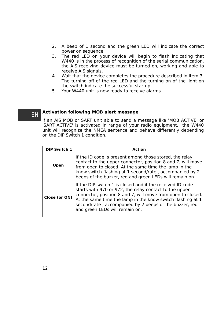- 2. A beep of 1 second and the green LED will indicate the correct power on sequence.
- 3. The red LED on your device will begin to flash indicating that W440 is in the process of recognition of the serial communication. the AIS receiving device must be turned on, working and able to receive AIS signals.
- 4. Wait that the device completes the procedure described in item 3. The turning off of the red LED and the turning on of the light on the switch indicate the successful startup.
- 5. Your W440 unit is now ready to receive alarms.

#### **Activation following MOB alert message** EN

If an AIS MOB or SART unit able to send a message like 'MOB ACTIVE' or 'SART ACTIVE' is activated in range of your radio equipment, the W440 unit will recognize the NMEA sentence and behave differently depending on the DIP Switch 1 condition.

| <b>DIP Switch 1</b> | Action                                                                                                                                                                                                                                                                                                                                       |
|---------------------|----------------------------------------------------------------------------------------------------------------------------------------------------------------------------------------------------------------------------------------------------------------------------------------------------------------------------------------------|
| Open                | If the ID code is present among those stored, the relay<br>contact to the upper connector, position 8 and 7, will move<br>from open to closed. At the same time the lamp in the<br>know switch flashing at 1 second/rate, accompanied by 2<br>beeps of the buzzer, red and green LEDs will remain on.                                        |
| Close (or ON)       | If the DIP switch 1 is closed and if the received ID code<br>starts with 970 or 972, the relay contact to the upper<br>connector, position 8 and 7, will move from open to closed.<br>At the same time the lamp in the know switch flashing at 1<br>second/rate, accompanied by 2 beeps of the buzzer, red<br>and green LEDs will remain on. |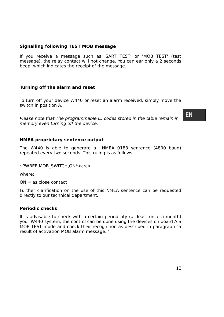## **Signalling following TEST MOB message**

If you receive a message such as 'SART TEST' or 'MOB TEST' (test message), the relay contact will not change. You can ear only a 2 seconds beep, which indicates the receipt of the message.

## **Turning off the alarm and reset**

To turn off your device W440 or reset an alarm received, simply move the switch in position A.

Please note that The programmable ID codes stored in the table remain in memory even turning off the device.

EN

## **NMEA proprietary sentence output**

The W440 is able to generate a NMEA 0183 sentence (4800 baud) repeated every two seconds. This ruling is as follows:

\$PWBEE,MOB\_SWITCH,ON\*<crc>

where:

 $ON = as close contact$ 

Further clarification on the use of this NMEA sentence can be requested directly to our technical department.

## **Periodic checks**

It is advisable to check with a certain periodicity (at least once a month) your W440 system, the control can be done using the devices on board AIS MOB TEST mode and check their recognition as described in paragraph "a result of activation MOB alarm message. "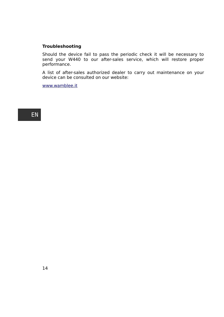## **Troubleshooting**

Should the device fail to pass the periodic check it will be necessary to send your W440 to our after-sales service, which will restore proper performance.

A list of after-sales authorized dealer to carry out maintenance on your device can be consulted on our website:

[www.wamblee.it](http://www.wamblee.it/)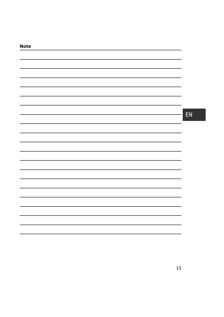| <b>Note</b> |    |
|-------------|----|
|             |    |
|             |    |
|             |    |
|             |    |
|             |    |
|             |    |
|             |    |
|             |    |
|             | EN |
|             |    |
|             |    |
|             |    |
|             |    |
|             |    |
|             |    |
|             |    |
|             |    |
|             |    |
|             |    |
|             |    |
|             |    |
|             |    |
|             |    |
|             |    |
|             |    |
|             |    |